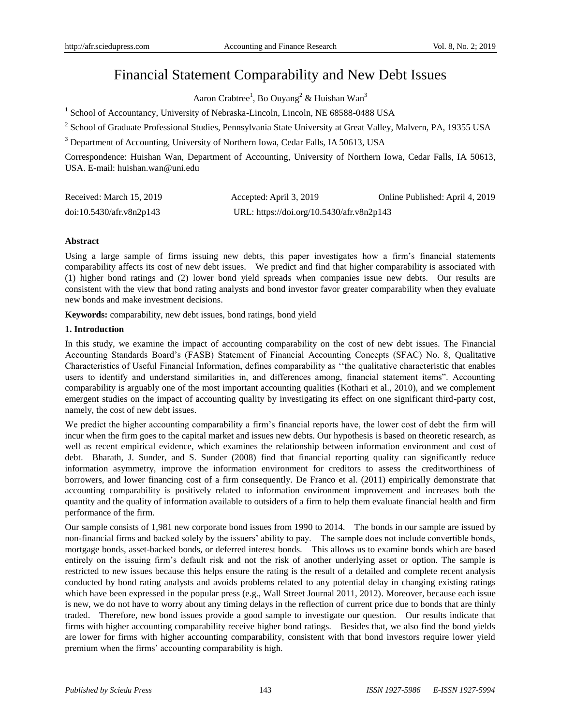# Financial Statement Comparability and New Debt Issues

Aaron Crabtree<sup>1</sup>, Bo Ouyang<sup>2</sup> & Huishan Wan<sup>3</sup>

<sup>1</sup> School of Accountancy, University of Nebraska-Lincoln, Lincoln, NE 68588-0488 USA

<sup>2</sup> School of Graduate Professional Studies, Pennsylvania State University at Great Valley, Malvern, PA, 19355 USA

<sup>3</sup> Department of Accounting, University of Northern Iowa, Cedar Falls, IA 50613, USA

Correspondence: Huishan Wan, Department of Accounting, University of Northern Iowa, Cedar Falls, IA 50613, USA. E-mail: [huishan.wan@uni.edu](mailto:huishan.wan@uni.edu)

| Received: March 15, 2019 | Accepted: April 3, 2019                   | Online Published: April 4, 2019 |
|--------------------------|-------------------------------------------|---------------------------------|
| doi:10.5430/afr.v8n2p143 | URL: https://doi.org/10.5430/afr.v8n2p143 |                                 |

# **Abstract**

Using a large sample of firms issuing new debts, this paper investigates how a firm's financial statements comparability affects its cost of new debt issues. We predict and find that higher comparability is associated with (1) higher bond ratings and (2) lower bond yield spreads when companies issue new debts. Our results are consistent with the view that bond rating analysts and bond investor favor greater comparability when they evaluate new bonds and make investment decisions.

**Keywords:** comparability, new debt issues, bond ratings, bond yield

# **1. Introduction**

In this study, we examine the impact of accounting comparability on the cost of new debt issues. The Financial Accounting Standards Board's (FASB) Statement of Financial Accounting Concepts (SFAC) No. 8, Qualitative Characteristics of Useful Financial Information, defines comparability as ''the qualitative characteristic that enables users to identify and understand similarities in, and differences among, financial statement items". Accounting comparability is arguably one of the most important accounting qualities (Kothari et al., 2010), and we complement emergent studies on the impact of accounting quality by investigating its effect on one significant third-party cost, namely, the cost of new debt issues.

We predict the higher accounting comparability a firm's financial reports have, the lower cost of debt the firm will incur when the firm goes to the capital market and issues new debts. Our hypothesis is based on theoretic research, as well as recent empirical evidence, which examines the relationship between information environment and cost of debt. Bharath, J. Sunder, and S. Sunder (2008) find that financial reporting quality can significantly reduce information asymmetry, improve the information environment for creditors to assess the creditworthiness of borrowers, and lower financing cost of a firm consequently. De Franco et al. (2011) empirically demonstrate that accounting comparability is positively related to information environment improvement and increases both the quantity and the quality of information available to outsiders of a firm to help them evaluate financial health and firm performance of the firm.

Our sample consists of 1,981 new corporate bond issues from 1990 to 2014. The bonds in our sample are issued by non-financial firms and backed solely by the issuers' ability to pay. The sample does not include convertible bonds, mortgage bonds, asset-backed bonds, or deferred interest bonds. This allows us to examine bonds which are based entirely on the issuing firm's default risk and not the risk of another underlying asset or option. The sample is restricted to new issues because this helps ensure the rating is the result of a detailed and complete recent analysis conducted by bond rating analysts and avoids problems related to any potential delay in changing existing ratings which have been expressed in the popular press (e.g., Wall Street Journal 2011, 2012). Moreover, because each issue is new, we do not have to worry about any timing delays in the reflection of current price due to bonds that are thinly traded. Therefore, new bond issues provide a good sample to investigate our question. Our results indicate that firms with higher accounting comparability receive higher bond ratings. Besides that, we also find the bond yields are lower for firms with higher accounting comparability, consistent with that bond investors require lower yield premium when the firms' accounting comparability is high.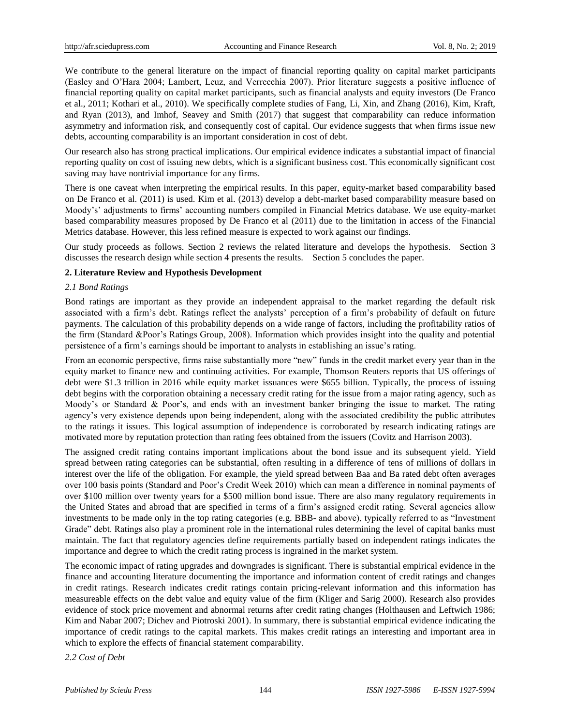We contribute to the general literature on the impact of financial reporting quality on capital market participants (Easley and O'Hara 2004; Lambert, Leuz, and Verrecchia 2007). Prior literature suggests a positive influence of financial reporting quality on capital market participants, such as financial analysts and equity investors (De Franco et al., 2011; Kothari et al., 2010). We specifically complete studies of Fang, Li, Xin, and Zhang (2016), Kim, Kraft, and Ryan (2013), and Imhof, Seavey and Smith (2017) that suggest that comparability can reduce information asymmetry and information risk, and consequently cost of capital. Our evidence suggests that when firms issue new debts, accounting comparability is an important consideration in cost of debt.

Our research also has strong practical implications. Our empirical evidence indicates a substantial impact of financial reporting quality on cost of issuing new debts, which is a significant business cost. This economically significant cost saving may have nontrivial importance for any firms.

There is one caveat when interpreting the empirical results. In this paper, equity-market based comparability based on De Franco et al. (2011) is used. Kim et al. (2013) develop a debt-market based comparability measure based on Moody's' adjustments to firms' accounting numbers compiled in Financial Metrics database. We use equity-market based comparability measures proposed by De Franco et al (2011) due to the limitation in access of the Financial Metrics database. However, this less refined measure is expected to work against our findings.

Our study proceeds as follows. Section 2 reviews the related literature and develops the hypothesis. Section 3 discusses the research design while section 4 presents the results. Section 5 concludes the paper.

### **2. Literature Review and Hypothesis Development**

# *2.1 Bond Ratings*

Bond ratings are important as they provide an independent appraisal to the market regarding the default risk associated with a firm's debt. Ratings reflect the analysts' perception of a firm's probability of default on future payments. The calculation of this probability depends on a wide range of factors, including the profitability ratios of the firm (Standard &Poor's Ratings Group, 2008). Information which provides insight into the quality and potential persistence of a firm's earnings should be important to analysts in establishing an issue's rating.

From an economic perspective, firms raise substantially more "new" funds in the credit market every year than in the equity market to finance new and continuing activities. For example, Thomson Reuters reports that US offerings of debt were \$1.3 trillion in 2016 while equity market issuances were \$655 billion. Typically, the process of issuing debt begins with the corporation obtaining a necessary credit rating for the issue from a major rating agency, such as Moody's or Standard & Poor's, and ends with an investment banker bringing the issue to market. The rating agency's very existence depends upon being independent, along with the associated credibility the public attributes to the ratings it issues. This logical assumption of independence is corroborated by research indicating ratings are motivated more by reputation protection than rating fees obtained from the issuers (Covitz and Harrison 2003).

The assigned credit rating contains important implications about the bond issue and its subsequent yield. Yield spread between rating categories can be substantial, often resulting in a difference of tens of millions of dollars in interest over the life of the obligation. For example, the yield spread between Baa and Ba rated debt often averages over 100 basis points (Standard and Poor's Credit Week 2010) which can mean a difference in nominal payments of over \$100 million over twenty years for a \$500 million bond issue. There are also many regulatory requirements in the United States and abroad that are specified in terms of a firm's assigned credit rating. Several agencies allow investments to be made only in the top rating categories (e.g. BBB- and above), typically referred to as "Investment Grade" debt. Ratings also play a prominent role in the international rules determining the level of capital banks must maintain. The fact that regulatory agencies define requirements partially based on independent ratings indicates the importance and degree to which the credit rating process is ingrained in the market system.

The economic impact of rating upgrades and downgrades is significant. There is substantial empirical evidence in the finance and accounting literature documenting the importance and information content of credit ratings and changes in credit ratings. Research indicates credit ratings contain pricing-relevant information and this information has measureable effects on the debt value and equity value of the firm (Kliger and Sarig 2000). Research also provides evidence of stock price movement and abnormal returns after credit rating changes (Holthausen and Leftwich 1986; Kim and Nabar 2007; Dichev and Piotroski 2001). In summary, there is substantial empirical evidence indicating the importance of credit ratings to the capital markets. This makes credit ratings an interesting and important area in which to explore the effects of financial statement comparability.

*2.2 Cost of Debt*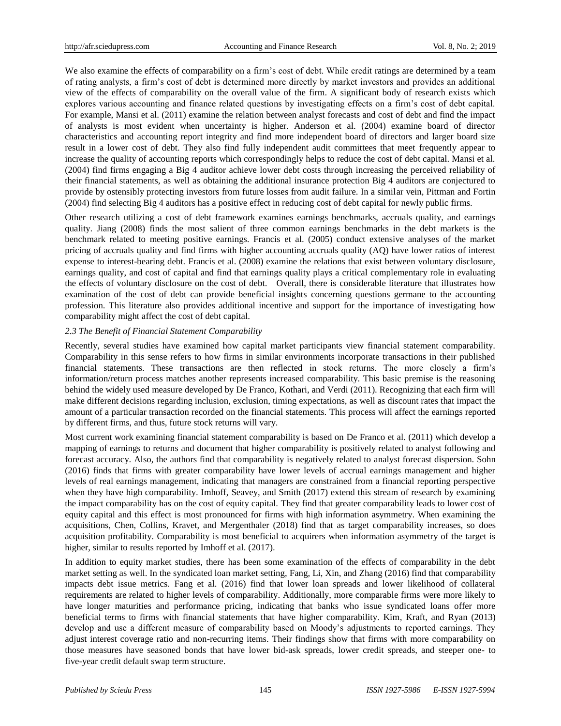We also examine the effects of comparability on a firm's cost of debt. While credit ratings are determined by a team of rating analysts, a firm's cost of debt is determined more directly by market investors and provides an additional view of the effects of comparability on the overall value of the firm. A significant body of research exists which explores various accounting and finance related questions by investigating effects on a firm's cost of debt capital. For example, Mansi et al. (2011) examine the relation between analyst forecasts and cost of debt and find the impact of analysts is most evident when uncertainty is higher. Anderson et al. (2004) examine board of director characteristics and accounting report integrity and find more independent board of directors and larger board size result in a lower cost of debt. They also find fully independent audit committees that meet frequently appear to increase the quality of accounting reports which correspondingly helps to reduce the cost of debt capital. Mansi et al. (2004) find firms engaging a Big 4 auditor achieve lower debt costs through increasing the perceived reliability of their financial statements, as well as obtaining the additional insurance protection Big 4 auditors are conjectured to provide by ostensibly protecting investors from future losses from audit failure. In a similar vein, Pittman and Fortin (2004) find selecting Big 4 auditors has a positive effect in reducing cost of debt capital for newly public firms.

Other research utilizing a cost of debt framework examines earnings benchmarks, accruals quality, and earnings quality. Jiang (2008) finds the most salient of three common earnings benchmarks in the debt markets is the benchmark related to meeting positive earnings. Francis et al. (2005) conduct extensive analyses of the market pricing of accruals quality and find firms with higher accounting accruals quality (AQ) have lower ratios of interest expense to interest-bearing debt. Francis et al. (2008) examine the relations that exist between voluntary disclosure, earnings quality, and cost of capital and find that earnings quality plays a critical complementary role in evaluating the effects of voluntary disclosure on the cost of debt. Overall, there is considerable literature that illustrates how examination of the cost of debt can provide beneficial insights concerning questions germane to the accounting profession. This literature also provides additional incentive and support for the importance of investigating how comparability might affect the cost of debt capital.

### *2.3 The Benefit of Financial Statement Comparability*

Recently, several studies have examined how capital market participants view financial statement comparability. Comparability in this sense refers to how firms in similar environments incorporate transactions in their published financial statements. These transactions are then reflected in stock returns. The more closely a firm's information/return process matches another represents increased comparability. This basic premise is the reasoning behind the widely used measure developed by De Franco, Kothari, and Verdi (2011). Recognizing that each firm will make different decisions regarding inclusion, exclusion, timing expectations, as well as discount rates that impact the amount of a particular transaction recorded on the financial statements. This process will affect the earnings reported by different firms, and thus, future stock returns will vary.

Most current work examining financial statement comparability is based on De Franco et al. (2011) which develop a mapping of earnings to returns and document that higher comparability is positively related to analyst following and forecast accuracy. Also, the authors find that comparability is negatively related to analyst forecast dispersion. Sohn (2016) finds that firms with greater comparability have lower levels of accrual earnings management and higher levels of real earnings management, indicating that managers are constrained from a financial reporting perspective when they have high comparability. Imhoff, Seavey, and Smith (2017) extend this stream of research by examining the impact comparability has on the cost of equity capital. They find that greater comparability leads to lower cost of equity capital and this effect is most pronounced for firms with high information asymmetry. When examining the acquisitions, Chen, Collins, Kravet, and Mergenthaler (2018) find that as target comparability increases, so does acquisition profitability. Comparability is most beneficial to acquirers when information asymmetry of the target is higher, similar to results reported by Imhoff et al. (2017).

In addition to equity market studies, there has been some examination of the effects of comparability in the debt market setting as well. In the syndicated loan market setting, Fang, Li, Xin, and Zhang (2016) find that comparability impacts debt issue metrics. Fang et al. (2016) find that lower loan spreads and lower likelihood of collateral requirements are related to higher levels of comparability. Additionally, more comparable firms were more likely to have longer maturities and performance pricing, indicating that banks who issue syndicated loans offer more beneficial terms to firms with financial statements that have higher comparability. Kim, Kraft, and Ryan (2013) develop and use a different measure of comparability based on Moody's adjustments to reported earnings. They adjust interest coverage ratio and non-recurring items. Their findings show that firms with more comparability on those measures have seasoned bonds that have lower bid-ask spreads, lower credit spreads, and steeper one- to five-year credit default swap term structure.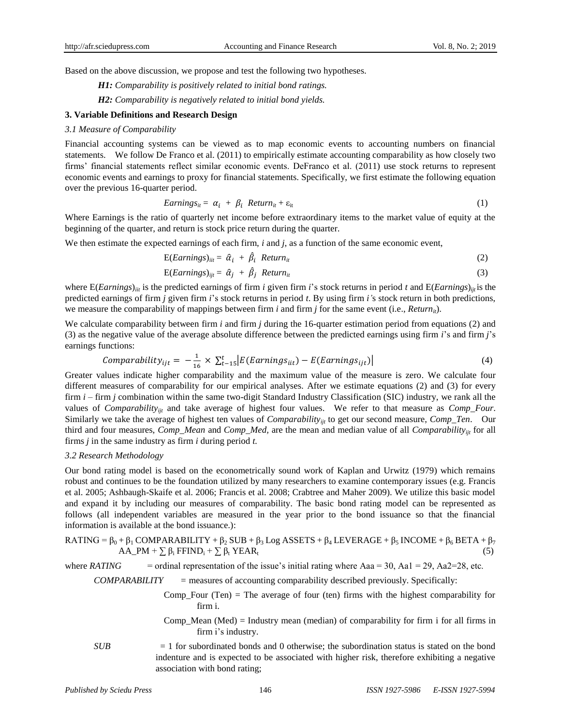Based on the above discussion, we propose and test the following two hypotheses.

*H1: Comparability is positively related to initial bond ratings.*

*H2: Comparability is negatively related to initial bond yields.*

#### **3. Variable Definitions and Research Design**

#### *3.1 Measure of Comparability*

Financial accounting systems can be viewed as to map economic events to accounting numbers on financial statements. We follow De Franco et al. (2011) to empirically estimate accounting comparability as how closely two firms' financial statements reflect similar economic events. DeFranco et al. (2011) use stock returns to represent economic events and earnings to proxy for financial statements. Specifically, we first estimate the following equation over the previous 16-quarter period.

$$
Earning_{ii} = \alpha_i + \beta_i \quad Return_{ii} + \varepsilon_{it} \tag{1}
$$

Where Earnings is the ratio of quarterly net income before extraordinary items to the market value of equity at the beginning of the quarter, and return is stock price return during the quarter.

We then estimate the expected earnings of each firm, *i* and *j*, as a function of the same economic event,

$$
E(Earning)_{ii} = \hat{\alpha}_i + \hat{\beta}_i Return_{it}
$$
 (2)

$$
E(Earning)_{ijt} = \hat{a}_j + \hat{\beta}_j Return_{it}
$$
 (3)

where  $E(Earnings)_{ii}$  is the predicted earnings of firm *i* given firm *i*'s stock returns in period *t* and  $E(Earnings)_{ij}$  is the predicted earnings of firm *j* given firm *i*'s stock returns in period *t*. By using firm *i'*s stock return in both predictions, we measure the comparability of mappings between firm *i* and firm *j* for the same event (i.e., *Return<sub>it</sub>*).

We calculate comparability between firm *i* and firm *j* during the 16-quarter estimation period from equations (2) and (3) as the negative value of the average absolute difference between the predicted earnings using firm *i*'s and firm *j*'s earnings functions:

$$
Comparability_{ijt} = -\frac{1}{16} \times \sum_{t=15}^{t} \left| E(EarningS_{iit}) - E(EarningS_{ijt}) \right| \tag{4}
$$

Greater values indicate higher comparability and the maximum value of the measure is zero. We calculate four different measures of comparability for our empirical analyses. After we estimate equations (2) and (3) for every firm *i* – firm *j* combination within the same two-digit Standard Industry Classification (SIC) industry, we rank all the values of *Comparability<sub>ijt</sub>* and take average of highest four values. We refer to that measure as *Comp\_Four*. Similarly we take the average of highest ten values of *Comparabilityijt* to get our second measure, *Comp\_Ten*. Our third and four measures, *Comp\_Mean* and *Comp\_Med,* are the mean and median value of all *Comparabilityijt* for all firms *j* in the same industry as firm *i* during period *t.*

### *3.2 Research Methodology*

Our bond rating model is based on the econometrically sound work of Kaplan and Urwitz (1979) which remains robust and continues to be the foundation utilized by many researchers to examine contemporary issues (e.g. Francis et al. 2005; Ashbaugh-Skaife et al. 2006; Francis et al. 2008; Crabtree and Maher 2009). We utilize this basic model and expand it by including our measures of comparability. The basic bond rating model can be represented as follows (all independent variables are measured in the year prior to the bond issuance so that the financial information is available at the bond issuance.):

RATING = 
$$
β_0 + β_1
$$
 COMPARABILITY +  $β_2$  SUB +  $β_3$  Log ASSETS +  $β_4$  LEVERAGE +  $β_5$  INCOME +  $β_6$  BETA +  $β_7$  AA<sub>−</sub>PM +  $Σ$  β<sub>i</sub> FFIND<sub>i</sub> +  $Σ$  β<sub>t</sub> YEAR<sub>t</sub> (5)

where *RATING*  $=$  ordinal representation of the issue's initial rating where Aaa = 30, Aa1 = 29, Aa2=28, etc.

*COMPARABILITY =* measures of accounting comparability described previously. Specifically:

- Comp Four (Ten) = The average of four (ten) firms with the highest comparability for firm i.
- Comp Mean (Med) = Industry mean (median) of comparability for firm i for all firms in firm i's industry.
- *SUB* = 1 for subordinated bonds and 0 otherwise; the subordination status is stated on the bond indenture and is expected to be associated with higher risk, therefore exhibiting a negative association with bond rating;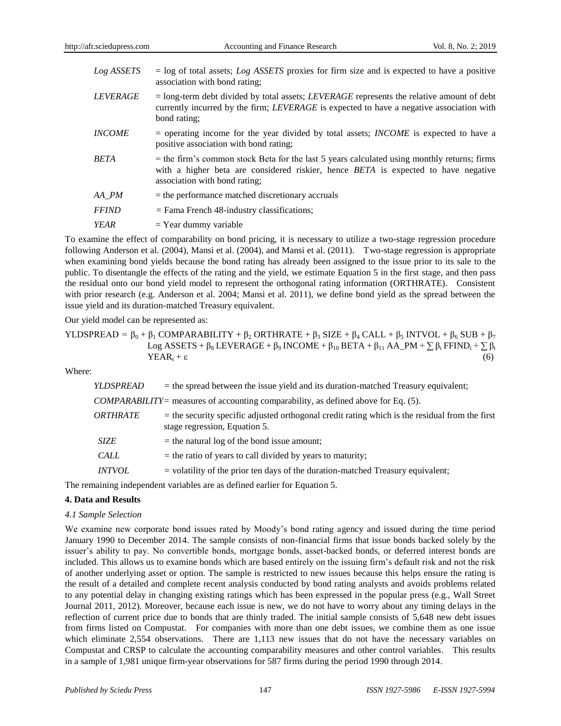| Log ASSETS      | $=$ log of total assets; <i>Log ASSETS</i> proxies for firm size and is expected to have a positive<br>association with bond rating;                                                                                 |
|-----------------|----------------------------------------------------------------------------------------------------------------------------------------------------------------------------------------------------------------------|
| <i>LEVERAGE</i> | $=$ long-term debt divided by total assets; <i>LEVERAGE</i> represents the relative amount of debt<br>currently incurred by the firm; LEVERAGE is expected to have a negative association with<br>bond rating;       |
| <i>INCOME</i>   | $=$ operating income for the year divided by total assets; <i>INCOME</i> is expected to have a<br>positive association with bond rating;                                                                             |
| <b>BETA</b>     | $=$ the firm's common stock Beta for the last 5 years calculated using monthly returns; firms<br>with a higher beta are considered riskier, hence BETA is expected to have negative<br>association with bond rating; |
| $AA\_PM$        | $=$ the performance matched discretionary accruals                                                                                                                                                                   |
| <b>FFIND</b>    | $=$ Fama French 48-industry classifications;                                                                                                                                                                         |
| YEAR            | $=$ Year dummy variable                                                                                                                                                                                              |

To examine the effect of comparability on bond pricing, it is necessary to utilize a two-stage regression procedure following Anderson et al. (2004), Mansi et al. (2004), and Mansi et al. (2011). Two-stage regression is appropriate when examining bond yields because the bond rating has already been assigned to the issue prior to its sale to the public. To disentangle the effects of the rating and the yield, we estimate Equation 5 in the first stage, and then pass the residual onto our bond yield model to represent the orthogonal rating information (ORTHRATE). Consistent with prior research (e.g. Anderson et al. 2004; Mansi et al. 2011), we define bond yield as the spread between the issue yield and its duration-matched Treasury equivalent.

Our yield model can be represented as:

# YLDSPREAD =  $\beta_0 + \beta_1$  COMPARABILITY +  $\beta_2$  ORTHRATE +  $\beta_3$  SIZE +  $\beta_4$  CALL +  $\beta_5$  INTVOL +  $\beta_6$  SUB +  $\beta_7$ Log ASSETS + β<sub>8</sub> LEVERAGE + β<sub>9</sub> INCOME + β<sub>10</sub> BETA + β<sub>11</sub> AA\_PM +  $\sum$  β<sub>i</sub> FFIND<sub>i</sub> +  $\sum$  β<sub>t</sub>  $YEAR_t + \varepsilon$  (6)

Where:

| YLDSPREAD     | $=$ the spread between the issue yield and its duration-matched Treasury equivalent;                                              |
|---------------|-----------------------------------------------------------------------------------------------------------------------------------|
|               | $COMPARABILITY = measures of accounting comparability, as defined above for Eq. (5).$                                             |
| ORTHRATE      | $=$ the security specific adjusted orthogonal credit rating which is the residual from the first<br>stage regression, Equation 5. |
| <b>SIZE</b>   | $=$ the natural log of the bond issue amount:                                                                                     |
| <b>CALL</b>   | $=$ the ratio of years to call divided by years to maturity;                                                                      |
| <i>INTVOL</i> | $=$ volatility of the prior ten days of the duration-matched Treasury equivalent;                                                 |
|               |                                                                                                                                   |

The remaining independent variables are as defined earlier for Equation 5.

### **4. Data and Results**

# *4.1 Sample Selection*

We examine new corporate bond issues rated by Moody's bond rating agency and issued during the time period January 1990 to December 2014. The sample consists of non-financial firms that issue bonds backed solely by the issuer's ability to pay. No convertible bonds, mortgage bonds, asset-backed bonds, or deferred interest bonds are included. This allows us to examine bonds which are based entirely on the issuing firm's default risk and not the risk of another underlying asset or option. The sample is restricted to new issues because this helps ensure the rating is the result of a detailed and complete recent analysis conducted by bond rating analysts and avoids problems related to any potential delay in changing existing ratings which has been expressed in the popular press (e.g., Wall Street Journal 2011, 2012). Moreover, because each issue is new, we do not have to worry about any timing delays in the reflection of current price due to bonds that are thinly traded. The initial sample consists of 5,648 new debt issues from firms listed on Compustat. For companies with more than one debt issues, we combine them as one issue which eliminate 2,554 observations. There are 1,113 new issues that do not have the necessary variables on Compustat and CRSP to calculate the accounting comparability measures and other control variables. This results in a sample of 1,981 unique firm-year observations for 587 firms during the period 1990 through 2014.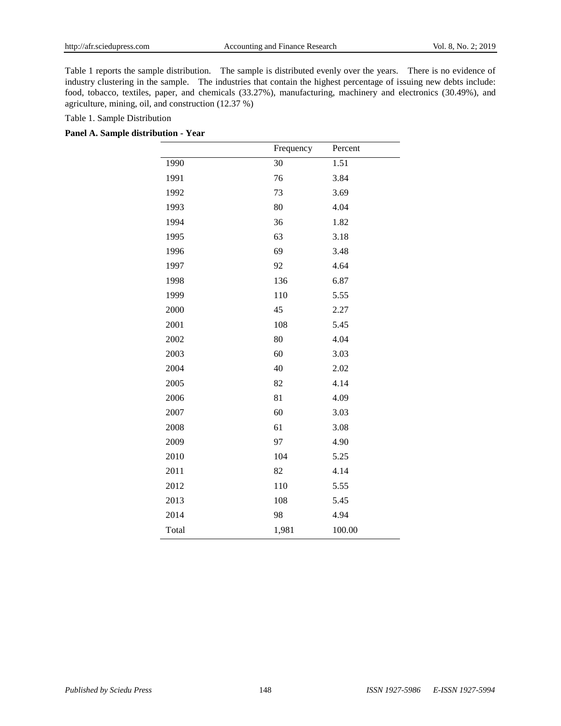Table 1 reports the sample distribution. The sample is distributed evenly over the years. There is no evidence of industry clustering in the sample. The industries that contain the highest percentage of issuing new debts include: food, tobacco, textiles, paper, and chemicals (33.27%), manufacturing, machinery and electronics (30.49%), and agriculture, mining, oil, and construction (12.37 %)

#### Table 1. Sample Distribution

# **Panel A. Sample distribution - Year**

|       | Frequency | Percent |
|-------|-----------|---------|
| 1990  | 30        | 1.51    |
| 1991  | 76        | 3.84    |
| 1992  | 73        | 3.69    |
| 1993  | 80        | 4.04    |
| 1994  | 36        | 1.82    |
| 1995  | 63        | 3.18    |
| 1996  | 69        | 3.48    |
| 1997  | 92        | 4.64    |
| 1998  | 136       | 6.87    |
| 1999  | 110       | 5.55    |
| 2000  | 45        | 2.27    |
| 2001  | 108       | 5.45    |
| 2002  | 80        | 4.04    |
| 2003  | 60        | 3.03    |
| 2004  | 40        | 2.02    |
| 2005  | 82        | 4.14    |
| 2006  | 81        | 4.09    |
| 2007  | 60        | 3.03    |
| 2008  | 61        | 3.08    |
| 2009  | 97        | 4.90    |
| 2010  | 104       | 5.25    |
| 2011  | 82        | 4.14    |
| 2012  | 110       | 5.55    |
| 2013  | 108       | 5.45    |
| 2014  | 98        | 4.94    |
| Total | 1,981     | 100.00  |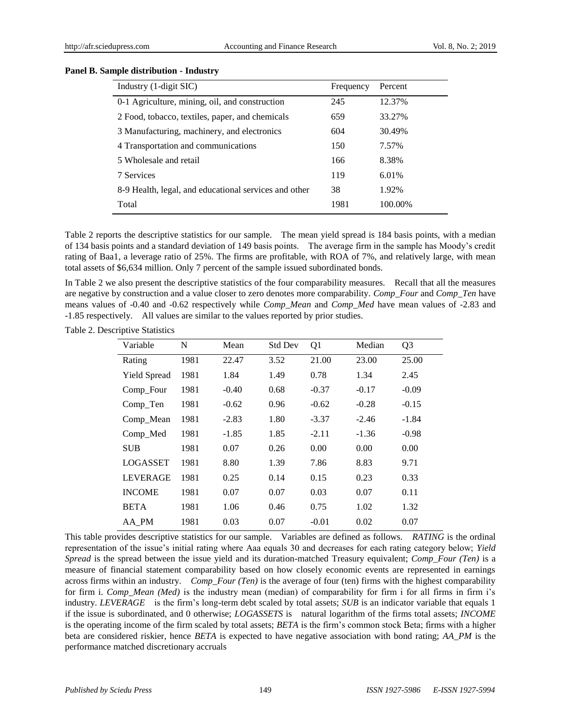### **Panel B. Sample distribution - Industry**

| Industry (1-digit SIC)                                | Frequency | Percent |
|-------------------------------------------------------|-----------|---------|
| 0-1 Agriculture, mining, oil, and construction        | 245       | 12.37%  |
| 2 Food, tobacco, textiles, paper, and chemicals       | 659       | 33.27%  |
| 3 Manufacturing, machinery, and electronics           | 604       | 30.49%  |
| 4 Transportation and communications                   | 150       | 7.57%   |
| 5 Wholesale and retail                                | 166       | 8.38%   |
| 7 Services                                            | 119       | 6.01%   |
| 8-9 Health, legal, and educational services and other | 38        | 1.92%   |
| Total                                                 | 1981      | 100.00% |

Table 2 reports the descriptive statistics for our sample. The mean yield spread is 184 basis points, with a median of 134 basis points and a standard deviation of 149 basis points. The average firm in the sample has Moody's credit rating of Baa1, a leverage ratio of 25%. The firms are profitable, with ROA of 7%, and relatively large, with mean total assets of \$6,634 million. Only 7 percent of the sample issued subordinated bonds.

In Table 2 we also present the descriptive statistics of the four comparability measures. Recall that all the measures are negative by construction and a value closer to zero denotes more comparability. *Comp\_Four* and *Comp\_Ten* have means values of -0.40 and -0.62 respectively while *Comp\_Mean* and *Comp\_Med* have mean values of -2.83 and -1.85 respectively. All values are similar to the values reported by prior studies.

Table 2. Descriptive Statistics

| Variable            | N    | Mean    | <b>Std Dev</b> | Q <sub>1</sub> | Median  | Q <sub>3</sub> |
|---------------------|------|---------|----------------|----------------|---------|----------------|
| Rating              | 1981 | 22.47   | 3.52           | 21.00          | 23.00   | 25.00          |
| <b>Yield Spread</b> | 1981 | 1.84    | 1.49           | 0.78           | 1.34    | 2.45           |
| Comp_Four           | 1981 | $-0.40$ | 0.68           | $-0.37$        | $-0.17$ | $-0.09$        |
| Comp_Ten            | 1981 | $-0.62$ | 0.96           | $-0.62$        | $-0.28$ | $-0.15$        |
| Comp_Mean           | 1981 | $-2.83$ | 1.80           | $-3.37$        | $-2.46$ | $-1.84$        |
| Comp_Med            | 1981 | $-1.85$ | 1.85           | $-2.11$        | $-1.36$ | $-0.98$        |
| <b>SUB</b>          | 1981 | 0.07    | 0.26           | 0.00           | 0.00    | 0.00           |
| LOGASSET            | 1981 | 8.80    | 1.39           | 7.86           | 8.83    | 9.71           |
| <b>LEVERAGE</b>     | 1981 | 0.25    | 0.14           | 0.15           | 0.23    | 0.33           |
| <b>INCOME</b>       | 1981 | 0.07    | 0.07           | 0.03           | 0.07    | 0.11           |
| <b>BETA</b>         | 1981 | 1.06    | 0.46           | 0.75           | 1.02    | 1.32           |
| AA PM               | 1981 | 0.03    | 0.07           | $-0.01$        | 0.02    | 0.07           |

This table provides descriptive statistics for our sample. Variables are defined as follows. *RATING* is the ordinal representation of the issue's initial rating where Aaa equals 30 and decreases for each rating category below; *Yield Spread* is the spread between the issue yield and its duration-matched Treasury equivalent; *Comp\_Four (Ten)* is a measure of financial statement comparability based on how closely economic events are represented in earnings across firms within an industry. *Comp\_Four (Ten)* is the average of four (ten) firms with the highest comparability for firm i. *Comp\_Mean (Med)* is the industry mean (median) of comparability for firm i for all firms in firm i's industry. *LEVERAGE* is the firm's long-term debt scaled by total assets; *SUB* is an indicator variable that equals 1 if the issue is subordinated, and 0 otherwise; *LOGASSETS* is natural logarithm of the firms total assets; *INCOME*  is the operating income of the firm scaled by total assets; *BETA* is the firm's common stock Beta; firms with a higher beta are considered riskier, hence *BETA* is expected to have negative association with bond rating; *AA\_PM* is the performance matched discretionary accruals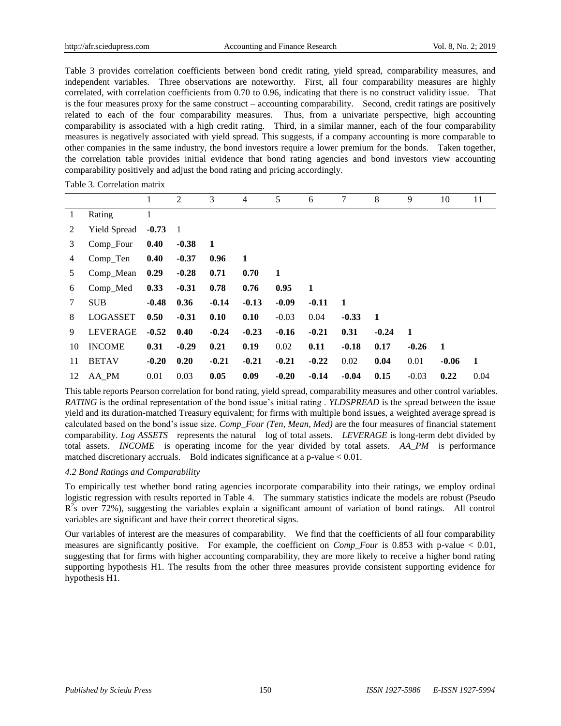Table 3 provides correlation coefficients between bond credit rating, yield spread, comparability measures, and independent variables. Three observations are noteworthy. First, all four comparability measures are highly correlated, with correlation coefficients from 0.70 to 0.96, indicating that there is no construct validity issue. That is the four measures proxy for the same construct – accounting comparability. Second, credit ratings are positively related to each of the four comparability measures. Thus, from a univariate perspective, high accounting comparability is associated with a high credit rating. Third, in a similar manner, each of the four comparability measures is negatively associated with yield spread. This suggests, if a company accounting is more comparable to other companies in the same industry, the bond investors require a lower premium for the bonds. Taken together, the correlation table provides initial evidence that bond rating agencies and bond investors view accounting comparability positively and adjust the bond rating and pricing accordingly.

Table 3. Correlation matrix

|              |                 |         | 2       | 3       | 4       | 5       | 6       | 7            | 8       | 9       | 10      | 11   |
|--------------|-----------------|---------|---------|---------|---------|---------|---------|--------------|---------|---------|---------|------|
| $\mathbf{1}$ | Rating          |         |         |         |         |         |         |              |         |         |         |      |
| 2            | Yield Spread    | $-0.73$ | -1      |         |         |         |         |              |         |         |         |      |
| 3            | Comp_Four       | 0.40    | $-0.38$ | -1      |         |         |         |              |         |         |         |      |
| 4            | Comp_Ten        | 0.40    | $-0.37$ | 0.96    | 1       |         |         |              |         |         |         |      |
| 5            | Comp_Mean       | 0.29    | $-0.28$ | 0.71    | 0.70    | 1       |         |              |         |         |         |      |
| 6            | Comp_Med        | 0.33    | $-0.31$ | 0.78    | 0.76    | 0.95    | 1       |              |         |         |         |      |
| 7            | <b>SUB</b>      | $-0.48$ | 0.36    | $-0.14$ | $-0.13$ | $-0.09$ | $-0.11$ | $\mathbf{1}$ |         |         |         |      |
| 8            | LOGASSET        | 0.50    | $-0.31$ | 0.10    | 0.10    | $-0.03$ | 0.04    | $-0.33$      | -1      |         |         |      |
| 9            | <b>LEVERAGE</b> | $-0.52$ | 0.40    | $-0.24$ | $-0.23$ | $-0.16$ | $-0.21$ | 0.31         | $-0.24$ | -1      |         |      |
| 10           | <b>INCOME</b>   | 0.31    | $-0.29$ | 0.21    | 0.19    | 0.02    | 0.11    | $-0.18$      | 0.17    | $-0.26$ | -1      |      |
| 11           | <b>BETAV</b>    | $-0.20$ | 0.20    | $-0.21$ | $-0.21$ | $-0.21$ | $-0.22$ | 0.02         | 0.04    | 0.01    | $-0.06$ | 1    |
| 12           | AA_PM           | 0.01    | 0.03    | 0.05    | 0.09    | $-0.20$ | $-0.14$ | $-0.04$      | 0.15    | $-0.03$ | 0.22    | 0.04 |

This table reports Pearson correlation for bond rating, yield spread, comparability measures and other control variables. *RATING* is the ordinal representation of the bond issue's initial rating . *YLDSPREAD* is the spread between the issue yield and its duration-matched Treasury equivalent; for firms with multiple bond issues, a weighted average spread is calculated based on the bond's issue size. *Comp\_Four (Ten, Mean, Med)* are the four measures of financial statement comparability. *Log ASSETS* represents the natural log of total assets. *LEVERAGE* is long-term debt divided by total assets. *INCOME* is operating income for the year divided by total assets. *AA\_PM* is performance matched discretionary accruals. Bold indicates significance at a p-value < 0.01.

# *4.2 Bond Ratings and Comparability*

To empirically test whether bond rating agencies incorporate comparability into their ratings, we employ ordinal logistic regression with results reported in Table 4. The summary statistics indicate the models are robust (Pseudo  $R<sup>2</sup>s$  over 72%), suggesting the variables explain a significant amount of variation of bond ratings. All control variables are significant and have their correct theoretical signs.

Our variables of interest are the measures of comparability. We find that the coefficients of all four comparability measures are significantly positive. For example, the coefficient on *Comp\_Four* is 0.853 with p-value < 0.01, suggesting that for firms with higher accounting comparability, they are more likely to receive a higher bond rating supporting hypothesis H1. The results from the other three measures provide consistent supporting evidence for hypothesis H1.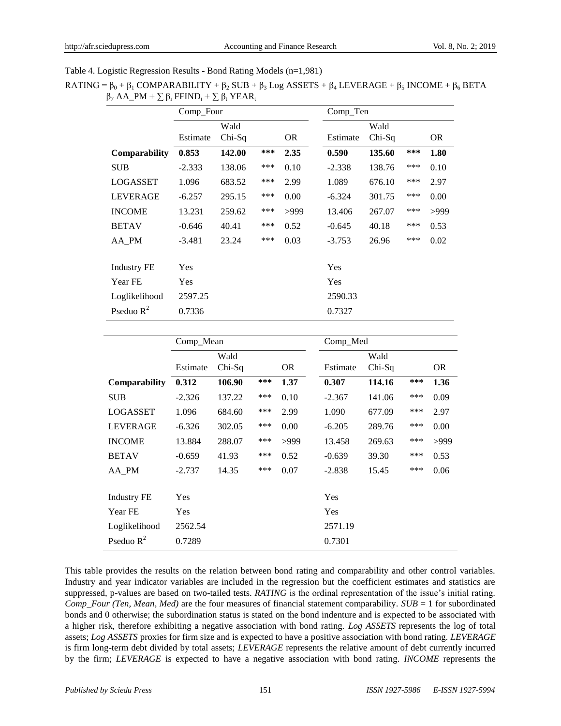# Table 4. Logistic Regression Results - Bond Rating Models (n=1,981)

RATING =  $\beta_0 + \beta_1$  COMPARABILITY +  $\beta_2$  SUB +  $\beta_3$  Log ASSETS +  $\beta_4$  LEVERAGE +  $\beta_5$  INCOME +  $\beta_6$  BETA  $β_7 AA\_PM + ∑ β_i FFIND_i + ∑ β_t YEAR_t$ 

|                    | Comp_Four  |          |     |      | Comp_Ten   |          |     |      |
|--------------------|------------|----------|-----|------|------------|----------|-----|------|
|                    |            | Wald     |     |      |            | Wald     |     |      |
|                    | Estimate   | $Chi-Sq$ |     | 0R   | Estimate   | $Chi-Sq$ |     | 0R   |
| Comparability      | 0.853      | 142.00   | *** | 2.35 | 0.590      | 135.60   | *** | 1.80 |
| <b>SUB</b>         | $-2.333$   | 138.06   | *** | 0.10 | $-2.338$   | 138.76   | *** | 0.10 |
| LOGASSET           | 1.096      | 683.52   | *** | 2.99 | 1.089      | 676.10   | *** | 2.97 |
| <b>LEVERAGE</b>    | $-6.257$   | 295.15   | *** | 0.00 | $-6.324$   | 301.75   | *** | 0.00 |
| <b>INCOME</b>      | 13.231     | 259.62   | *** | >999 | 13.406     | 267.07   | *** | >999 |
| <b>BETAV</b>       | $-0.646$   | 40.41    | *** | 0.52 | $-0.645$   | 40.18    | *** | 0.53 |
| AA PM              | $-3.481$   | 23.24    | *** | 0.03 | $-3.753$   | 26.96    | *** | 0.02 |
|                    |            |          |     |      |            |          |     |      |
| <b>Industry FE</b> | <b>Yes</b> |          |     |      | Yes        |          |     |      |
| Year FE            | <b>Yes</b> |          |     |      | <b>Yes</b> |          |     |      |
| Loglikelihood      | 2597.25    |          |     |      | 2590.33    |          |     |      |
| Pseduo $R^2$       | 0.7336     |          |     |      | 0.7327     |          |     |      |

|                    | Comp_Mean |                  |     |      | Comp_Med   |                  |     |           |
|--------------------|-----------|------------------|-----|------|------------|------------------|-----|-----------|
|                    | Estimate  | Wald<br>$Chi-Sq$ |     | OR.  | Estimate   | Wald<br>$Chi-Sq$ |     | <b>OR</b> |
| Comparability      | 0.312     | 106.90           | *** | 1.37 | 0.307      | 114.16           | *** | 1.36      |
| <b>SUB</b>         | $-2.326$  | 137.22           | *** | 0.10 | $-2.367$   | 141.06           | *** | 0.09      |
| LOGASSET           | 1.096     | 684.60           | *** | 2.99 | 1.090      | 677.09           | *** | 2.97      |
| <b>LEVERAGE</b>    | $-6.326$  | 302.05           | *** | 0.00 | $-6.205$   | 289.76           | *** | 0.00      |
| <b>INCOME</b>      | 13.884    | 288.07           | *** | >999 | 13.458     | 269.63           | *** | >999      |
| <b>BETAV</b>       | $-0.659$  | 41.93            | *** | 0.52 | $-0.639$   | 39.30            | *** | 0.53      |
| AA_PM              | $-2.737$  | 14.35            | *** | 0.07 | $-2.838$   | 15.45            | *** | 0.06      |
|                    |           |                  |     |      |            |                  |     |           |
| <b>Industry FE</b> | Yes       |                  |     |      | Yes        |                  |     |           |
| Year FE            | Yes       |                  |     |      | <b>Yes</b> |                  |     |           |
| Loglikelihood      | 2562.54   |                  |     |      | 2571.19    |                  |     |           |
| Pseduo $R^2$       | 0.7289    |                  |     |      | 0.7301     |                  |     |           |

This table provides the results on the relation between bond rating and comparability and other control variables. Industry and year indicator variables are included in the regression but the coefficient estimates and statistics are suppressed, p-values are based on two-tailed tests. *RATING* is the ordinal representation of the issue's initial rating. *Comp\_Four (Ten, Mean, Med)* are the four measures of financial statement comparability. *SUB* = 1 for subordinated bonds and 0 otherwise; the subordination status is stated on the bond indenture and is expected to be associated with a higher risk, therefore exhibiting a negative association with bond rating. *Log ASSETS* represents the log of total assets; *Log ASSETS* proxies for firm size and is expected to have a positive association with bond rating. *LEVERAGE*  is firm long-term debt divided by total assets; *LEVERAGE* represents the relative amount of debt currently incurred by the firm; *LEVERAGE* is expected to have a negative association with bond rating. *INCOME* represents the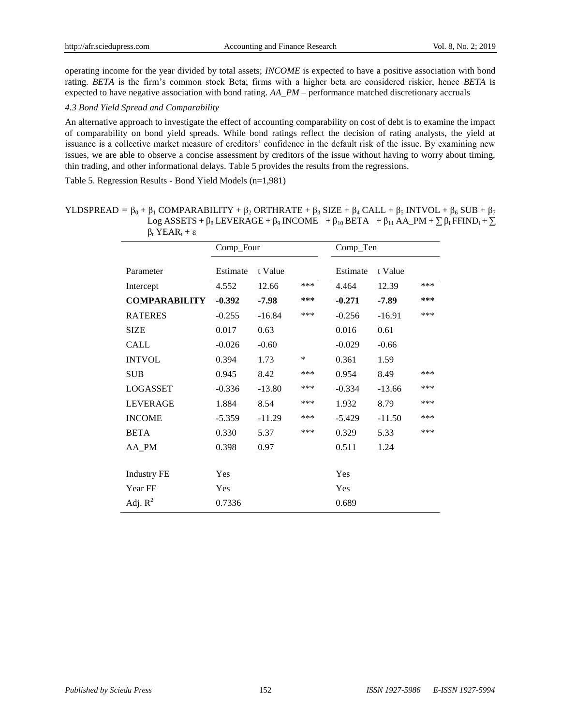operating income for the year divided by total assets; *INCOME* is expected to have a positive association with bond rating. *BETA* is the firm's common stock Beta; firms with a higher beta are considered riskier, hence *BETA* is expected to have negative association with bond rating. *AA\_PM* – performance matched discretionary accruals

# *4.3 Bond Yield Spread and Comparability*

An alternative approach to investigate the effect of accounting comparability on cost of debt is to examine the impact of comparability on bond yield spreads. While bond ratings reflect the decision of rating analysts, the yield at issuance is a collective market measure of creditors' confidence in the default risk of the issue. By examining new issues, we are able to observe a concise assessment by creditors of the issue without having to worry about timing, thin trading, and other informational delays. Table 5 provides the results from the regressions.

Table 5. Regression Results - Bond Yield Models (n=1,981)

| YLDSPREAD = $\beta_0 + \beta_1$ COMPARABILITY + $\beta_2$ ORTHRATE + $\beta_3$ SIZE + $\beta_4$ CALL + $\beta_5$ INTVOL + $\beta_6$ SUB + $\beta_7$ |  |
|-----------------------------------------------------------------------------------------------------------------------------------------------------|--|
| Log ASSETS + $\beta_8$ LEVERAGE + $\beta_9$ INCOME + $\beta_{10}$ BETA + $\beta_{11}$ AA_PM + $\sum \beta_i$ FFIND <sub>i</sub> + $\sum$            |  |
| $\beta_{t}$ YEAR <sub>t</sub> + $\varepsilon$                                                                                                       |  |

|                      | Comp_Four |          |     | Comp_Ten |          |     |
|----------------------|-----------|----------|-----|----------|----------|-----|
| Parameter            | Estimate  | t Value  |     | Estimate | t Value  |     |
| Intercept            | 4.552     | 12.66    | *** | 4.464    | 12.39    | *** |
| <b>COMPARABILITY</b> | $-0.392$  | $-7.98$  | *** | $-0.271$ | $-7.89$  | *** |
| <b>RATERES</b>       | $-0.255$  | $-16.84$ | *** | $-0.256$ | $-16.91$ | *** |
| <b>SIZE</b>          | 0.017     | 0.63     |     | 0.016    | 0.61     |     |
| <b>CALL</b>          | $-0.026$  | $-0.60$  |     | $-0.029$ | $-0.66$  |     |
| <b>INTVOL</b>        | 0.394     | 1.73     | *   | 0.361    | 1.59     |     |
| <b>SUB</b>           | 0.945     | 8.42     | *** | 0.954    | 8.49     | *** |
| <b>LOGASSET</b>      | $-0.336$  | $-13.80$ | *** | $-0.334$ | $-13.66$ | *** |
| <b>LEVERAGE</b>      | 1.884     | 8.54     | *** | 1.932    | 8.79     | *** |
| <b>INCOME</b>        | $-5.359$  | $-11.29$ | *** | $-5.429$ | $-11.50$ | *** |
| <b>BETA</b>          | 0.330     | 5.37     | *** | 0.329    | 5.33     | *** |
| AA_PM                | 0.398     | 0.97     |     | 0.511    | 1.24     |     |
|                      |           |          |     |          |          |     |
| <b>Industry FE</b>   | Yes       |          |     | Yes      |          |     |
| Year FE              | Yes       |          |     | Yes      |          |     |
| Adj. $R^2$           | 0.7336    |          |     | 0.689    |          |     |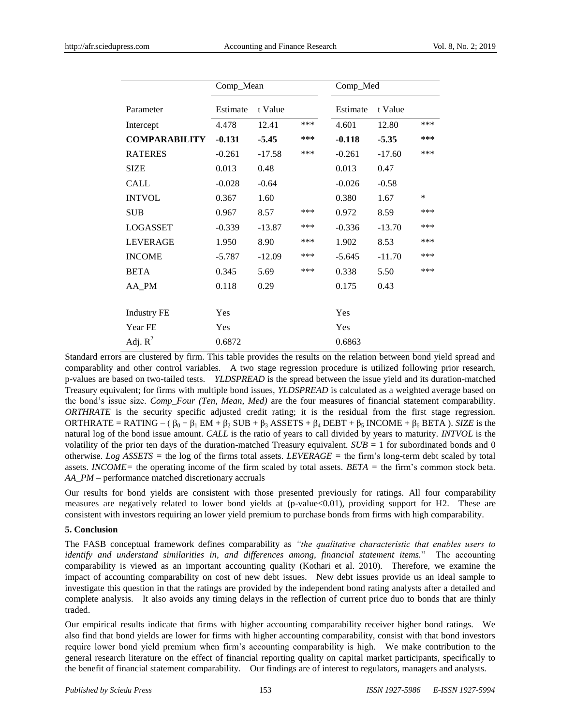|                      | Comp_Mean |          |     | Comp_Med |          |        |
|----------------------|-----------|----------|-----|----------|----------|--------|
| Parameter            | Estimate  | t Value  |     | Estimate | t Value  |        |
| Intercept            | 4.478     | 12.41    | *** | 4.601    | 12.80    | ***    |
| <b>COMPARABILITY</b> | $-0.131$  | $-5.45$  | *** | $-0.118$ | $-5.35$  | ***    |
| <b>RATERES</b>       | $-0.261$  | $-17.58$ | *** | $-0.261$ | $-17.60$ | ***    |
| SIZE                 | 0.013     | 0.48     |     | 0.013    | 0.47     |        |
| <b>CALL</b>          | $-0.028$  | $-0.64$  |     | $-0.026$ | $-0.58$  |        |
| <b>INTVOL</b>        | 0.367     | 1.60     |     | 0.380    | 1.67     | $\ast$ |
| <b>SUB</b>           | 0.967     | 8.57     | *** | 0.972    | 8.59     | ***    |
| LOGASSET             | $-0.339$  | $-13.87$ | *** | $-0.336$ | $-13.70$ | ***    |
| <b>LEVERAGE</b>      | 1.950     | 8.90     | *** | 1.902    | 8.53     | ***    |
| <b>INCOME</b>        | $-5.787$  | $-12.09$ | *** | $-5.645$ | $-11.70$ | ***    |
| <b>BETA</b>          | 0.345     | 5.69     | *** | 0.338    | 5.50     | ***    |
| AA_PM                | 0.118     | 0.29     |     | 0.175    | 0.43     |        |
|                      |           |          |     |          |          |        |
| <b>Industry FE</b>   | Yes       |          |     | Yes      |          |        |
| Year FE              | Yes       |          |     | Yes      |          |        |
| Adj. $R^2$           | 0.6872    |          |     | 0.6863   |          |        |

Standard errors are clustered by firm. This table provides the results on the relation between bond yield spread and comparablity and other control variables. A two stage regression procedure is utilized following prior research, p-values are based on two-tailed tests. *YLDSPREAD* is the spread between the issue yield and its duration-matched Treasury equivalent; for firms with multiple bond issues, *YLDSPREAD* is calculated as a weighted average based on the bond's issue size. *Comp\_Four (Ten, Mean, Med)* are the four measures of financial statement comparability. *ORTHRATE* is the security specific adjusted credit rating; it is the residual from the first stage regression. ORTHRATE = RATING –  $( \beta_0 + \beta_1 E M + \beta_2 S U B + \beta_3 ASSETS + \beta_4 DEBT + \beta_5 INCOME + \beta_6 BETA )$ . *SIZE* is the natural log of the bond issue amount. *CALL* is the ratio of years to call divided by years to maturity. *INTVOL* is the volatility of the prior ten days of the duration-matched Treasury equivalent.  $SUB = 1$  for subordinated bonds and 0 otherwise. *Log ASSETS =* the log of the firms total assets. *LEVERAGE =* the firm's long-term debt scaled by total assets. *INCOME=* the operating income of the firm scaled by total assets. *BETA =* the firm's common stock beta. *AA\_PM* – performance matched discretionary accruals

Our results for bond yields are consistent with those presented previously for ratings. All four comparability measures are negatively related to lower bond yields at (p-value<0.01), providing support for H2. These are consistent with investors requiring an lower yield premium to purchase bonds from firms with high comparability.

# **5. Conclusion**

The FASB conceptual framework defines comparability as *"the qualitative characteristic that enables users to identify and understand similarities in, and differences among, financial statement items.*" The accounting comparability is viewed as an important accounting quality (Kothari et al. 2010). Therefore, we examine the impact of accounting comparability on cost of new debt issues. New debt issues provide us an ideal sample to investigate this question in that the ratings are provided by the independent bond rating analysts after a detailed and complete analysis. It also avoids any timing delays in the reflection of current price duo to bonds that are thinly traded.

Our empirical results indicate that firms with higher accounting comparability receiver higher bond ratings. We also find that bond yields are lower for firms with higher accounting comparability, consist with that bond investors require lower bond yield premium when firm's accounting comparability is high. We make contribution to the general research literature on the effect of financial reporting quality on capital market participants, specifically to the benefit of financial statement comparability. Our findings are of interest to regulators, managers and analysts.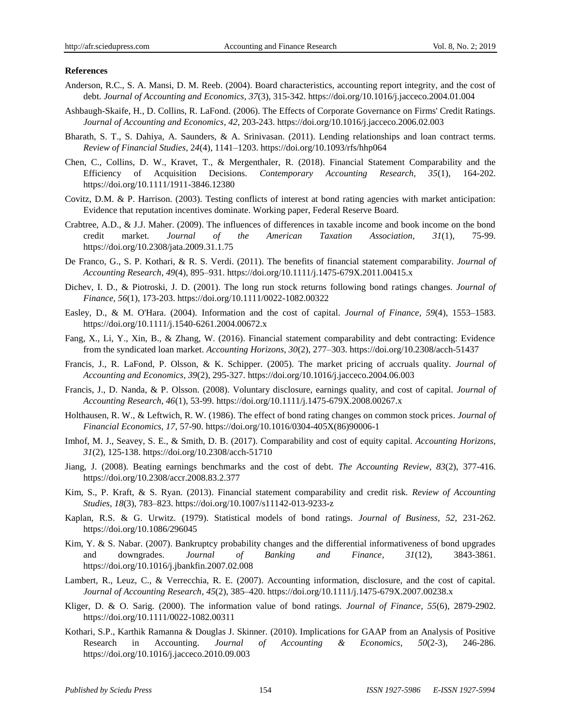#### **References**

- Anderson, R.C., S. A. Mansi, D. M. Reeb. (2004). Board characteristics, accounting report integrity, and the cost of debt. *Journal of Accounting and Economics, 37*(3), 315-342.<https://doi.org/10.1016/j.jacceco.2004.01.004>
- Ashbaugh-Skaife, H., D. Collins, R. LaFond. (2006). The Effects of Corporate Governance on Firms' Credit Ratings. *Journal of Accounting and Economics, 42*, 203-243[. https://doi.org/10.1016/j.jacceco.2006.02.003](https://doi.org/10.1016/j.jacceco.2006.02.003)
- Bharath, S. T., S. Dahiya, A. Saunders, & A. Srinivasan. (2011). Lending relationships and loan contract terms. *Review of Financial Studies,* 2*4*(4), 1141–1203[. https://doi.org/10.1093/rfs/hhp064](https://doi.org/10.1093/rfs/hhp064)
- Chen, C., Collins, D. W., Kravet, T., & Mergenthaler, R. (2018). Financial Statement Comparability and the Efficiency of Acquisition Decisions. *Contemporary Accounting Research, 35*(1), 164-202. <https://doi.org/10.1111/1911-3846.12380>
- Covitz, D.M. & P. Harrison. (2003). Testing conflicts of interest at bond rating agencies with market anticipation: Evidence that reputation incentives dominate. Working paper, Federal Reserve Board.
- Crabtree, A.D., & J.J. Maher. (2009). The influences of differences in taxable income and book income on the bond credit market. *Journal of the American Taxation Association, 31*(1), 75-99. <https://doi.org/10.2308/jata.2009.31.1.75>
- De Franco, G., S. P. Kothari, & R. S. Verdi. (2011). The benefits of financial statement comparability. *Journal of Accounting Research, 49*(4), 895–931.<https://doi.org/10.1111/j.1475-679X.2011.00415.x>
- Dichev, I. D., & Piotroski, J. D. (2001). The long run stock returns following bond ratings changes. *Journal of Finance, 56*(1), 173-203[. https://doi.org/10.1111/0022-1082.00322](https://doi.org/10.1111/0022-1082.00322)
- Easley, D., & M. O'Hara. (2004). Information and the cost of capital. *Journal of Finance, 59*(4), 1553–1583. <https://doi.org/10.1111/j.1540-6261.2004.00672.x>
- Fang, X., Li, Y., Xin, B., & Zhang, W. (2016). Financial statement comparability and debt contracting: Evidence from the syndicated loan market. *Accounting Horizons, 30*(2), 277–303[. https://doi.org/10.2308/acch-51437](https://doi.org/10.2308/acch-51437)
- Francis, J., R. LaFond, P. Olsson, & K. Schipper. (2005). The market pricing of accruals quality. *Journal of Accounting and Economics, 39*(2), 295-327.<https://doi.org/10.1016/j.jacceco.2004.06.003>
- Francis, J., D. Nanda, & P. Olsson. (2008). Voluntary disclosure, earnings quality, and cost of capital. *Journal of Accounting Research, 46*(1), 53-99.<https://doi.org/10.1111/j.1475-679X.2008.00267.x>
- Holthausen, R. W., & Leftwich, R. W. (1986). The effect of bond rating changes on common stock prices. *Journal of Financial Economics, 17*, 57-90[. https://doi.org/10.1016/0304-405X\(86\)90006-1](https://doi.org/10.1016/0304-405X(86)90006-1)
- Imhof, M. J., Seavey, S. E., & Smith, D. B. (2017). Comparability and cost of equity capital. *Accounting Horizons, 31*(2), 125-138.<https://doi.org/10.2308/acch-51710>
- Jiang, J. (2008). Beating earnings benchmarks and the cost of debt. *The Accounting Review, 83*(2), 377-416. <https://doi.org/10.2308/accr.2008.83.2.377>
- Kim, S., P. Kraft, & S. Ryan. (2013). Financial statement comparability and credit risk. *Review of Accounting Studies, 18*(3), 783–823[. https://doi.org/10.1007/s11142-013-9233-z](https://doi.org/10.1007/s11142-013-9233-z)
- Kaplan, R.S. & G. Urwitz. (1979). Statistical models of bond ratings. *Journal of Business, 52*, 231-262. <https://doi.org/10.1086/296045>
- Kim, Y. & S. Nabar. (2007). Bankruptcy probability changes and the differential informativeness of bond upgrades and downgrades. *Journal of Banking and Finance, 31*(12), 3843-3861. <https://doi.org/10.1016/j.jbankfin.2007.02.008>
- Lambert, R., Leuz, C., & Verrecchia, R. E. (2007). Accounting information, disclosure, and the cost of capital. *Journal of Accounting Research, 45*(2), 385–420[. https://doi.org/10.1111/j.1475-679X.2007.00238.x](https://doi.org/10.1111/j.1475-679X.2007.00238.x)
- Kliger, D. & O. Sarig. (2000). The information value of bond ratings. *Journal of Finance, 55*(6), 2879-2902. <https://doi.org/10.1111/0022-1082.00311>
- Kothari, S.P., Karthik Ramanna & Douglas J. Skinner. (2010). Implications for GAAP from an Analysis of Positive Research in Accounting. *Journal of Accounting & Economics, 50*(2-3), 246-286. <https://doi.org/10.1016/j.jacceco.2010.09.003>